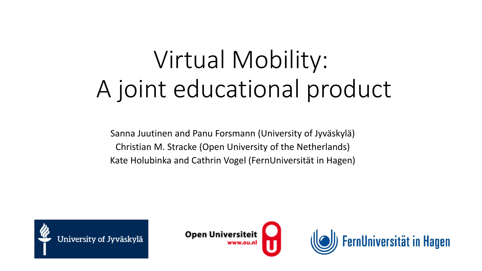# Virtual Mobility: A joint educational product

Sanna Juutinen and Panu Forsmann (University of Jyväskylä) Christian M. Stracke (Open University of the Netherlands) Kate Holubinka and Cathrin Vogel (FernUniversität in Hagen)





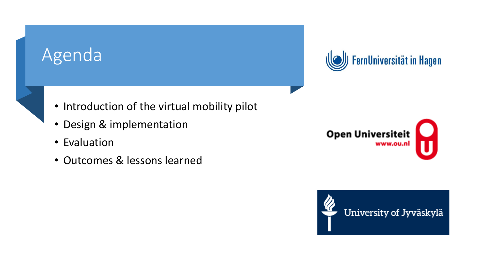## **Agenda**



- Introduction of the virtual mobility pilot
- Design & implementation
- Evaluation
- Outcomes & lessons learned



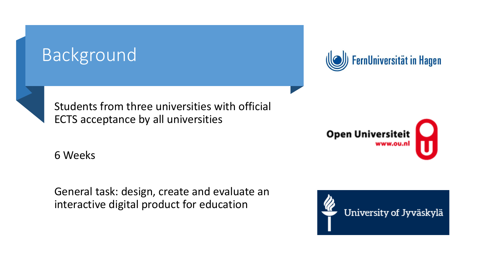## Background





Students from three universities with official ECTS acceptance by all universities

6 Weeks

General task: design, create and evaluate an interactive digital product for education



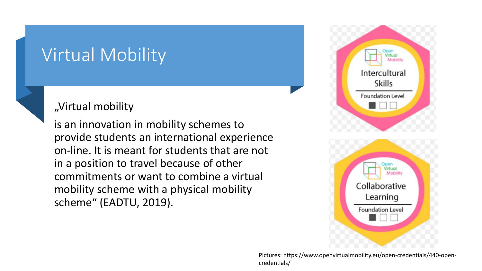### Virtual Mobility



#### "Virtual mobility

is an innovation in mobility schemes to provide students an international experience on-line. It is meant for students that are not in a position to travel because of other commitments or want to combine a virtual mobility scheme with a physical mobility scheme" (EADTU, 2019).



Pictures: https://www.openvirtualmobility.eu/open-credentials/440-opencredentials/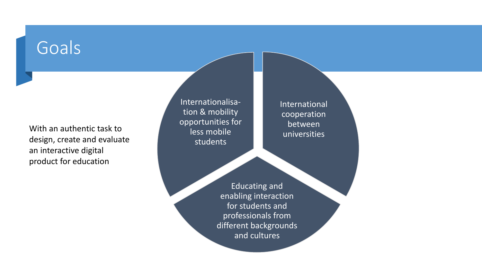## **Goals**

With an authentic task to design, create and evaluate an interactive digital product for education

Internationalisation & mobility opportunities for less mobile students

International cooperation between universities

Educating and enabling interaction for students and professionals from different backgrounds and cultures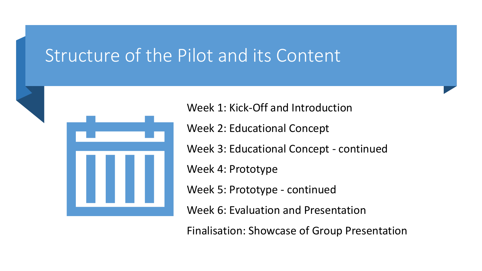### Structure of the Pilot and its Content



Week 1: Kick-Off and Introduction

Week 2: Educational Concept

Week 3: Educational Concept - continued

Week 4: Prototype

Week 5: Prototype - continued

Week 6: Evaluation and Presentation

Finalisation: Showcase of Group Presentation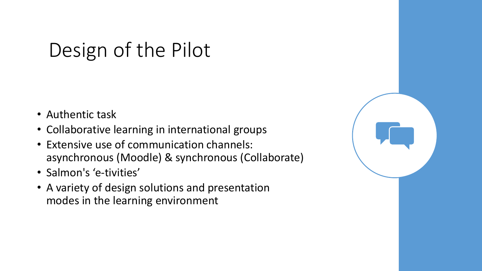## Design of the Pilot

- Authentic task
- Collaborative learning in international groups
- Extensive use of communication channels: asynchronous (Moodle) & synchronous (Collaborate)
- Salmon's 'e-tivities'
- A variety of design solutions and presentation modes in the learning environment

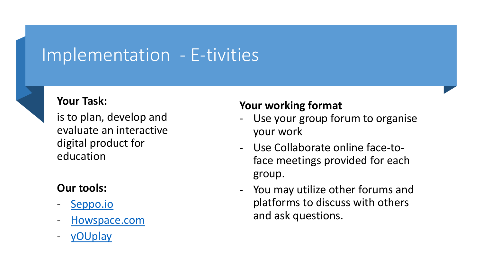### Implementation - E-tivities



#### **Your Task:**

is to plan, develop and evaluate an interactive digital product for education

#### **Our tools:**

- [Seppo.io](https://seppo.io/)
- [Howspace.com](https://www.howspace.com/)
- [yOUplay](https://www.ou.nl/youplay)

#### **Your working format**

- Use your group forum to organise your work
- Use Collaborate online face-toface meetings provided for each group.
- You may utilize other forums and platforms to discuss with others and ask questions.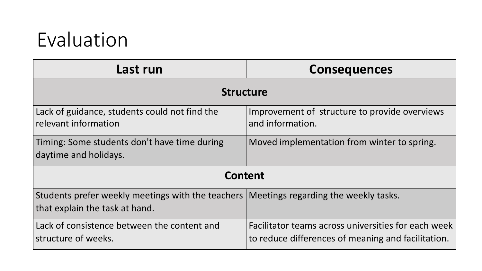## Evaluation

| Last run                                                                                                                   | <b>Consequences</b>                                                                                       |
|----------------------------------------------------------------------------------------------------------------------------|-----------------------------------------------------------------------------------------------------------|
| <b>Structure</b>                                                                                                           |                                                                                                           |
| Lack of guidance, students could not find the<br>relevant information                                                      | Improvement of structure to provide overviews<br>and information.                                         |
| Timing: Some students don't have time during<br>daytime and holidays.                                                      | Moved implementation from winter to spring.                                                               |
| <b>Content</b>                                                                                                             |                                                                                                           |
| Students prefer weekly meetings with the teachers   Meetings regarding the weekly tasks.<br>that explain the task at hand. |                                                                                                           |
| Lack of consistence between the content and<br>structure of weeks.                                                         | Facilitator teams across universities for each week<br>to reduce differences of meaning and facilitation. |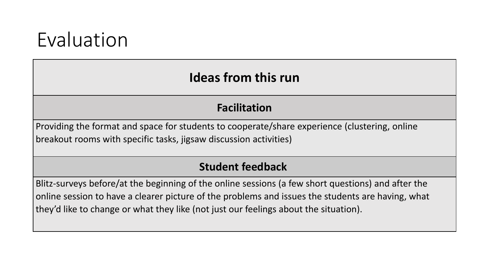## Evaluation

#### **Ideas from this run**

#### **Facilitation**

Providing the format and space for students to cooperate/share experience (clustering, online breakout rooms with specific tasks, jigsaw discussion activities)

#### **Student feedback**

Blitz-surveys before/at the beginning of the online sessions (a few short questions) and after the online session to have a clearer picture of the problems and issues the students are having, what they'd like to change or what they like (not just our feelings about the situation).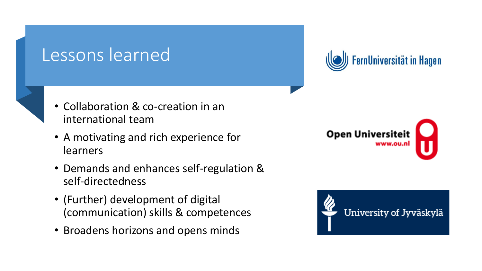### Lessons learned



- Collaboration & co-creation in an international team
- A motivating and rich experience for learners
- Demands and enhances self-regulation & self-directedness
- (Further) development of digital (communication) skills & competences
- Broadens horizons and opens minds





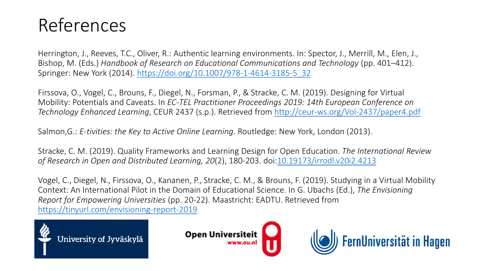## References

Herrington, J., Reeves, T.C., Oliver, R.: Authentic learning environments. In: Spector, J., Merrill, M., Elen, J., Bishop, M. (Eds.) *Handbook of Research on Educational Communications and Technology* (pp. 401–412). Springer: New York (2014). [https://doi.org/10.1007/978-1-4614-3185-5\\_32](https://doi.org/10.1007/978-1-4614-3185-5_32)

Firssova, O., Vogel, C., Brouns, F., Diegel, N., Forsman, P., & Stracke, C. M. (2019). Designing for Virtual Mobility: Potentials and Caveats. In *EC-TEL Practitioner Proceedings 2019: 14th European Conference on Technology Enhanced Learning*, CEUR 2437 (s.p.). Retrieved from<http://ceur-ws.org/Vol-2437/paper4.pdf>

Salmon,G.: *E-tivities: the Key to Active Online Learning*. Routledge: New York, London (2013).

Stracke, C. M. (2019). Quality Frameworks and Learning Design for Open Education. *The International Review of Research in Open and Distributed Learning, 20*(2), 180-203. doi[:10.19173/irrodl.v20i2.4213](http://www.doi.org/10.19173/irrodl.v20i2.4213)

Vogel, C., Diegel, N., Firssova, O., Kananen, P., Stracke, C. M., & Brouns, F. (2019). Studying in a Virtual Mobility Context: An International Pilot in the Domain of Educational Science. In G. Ubachs (Ed.), *The Envisioning Report for Empowering Universities* (pp. 20-22). Maastricht: EADTU. Retrieved from <https://tinyurl.com/envisioning-report-2019>